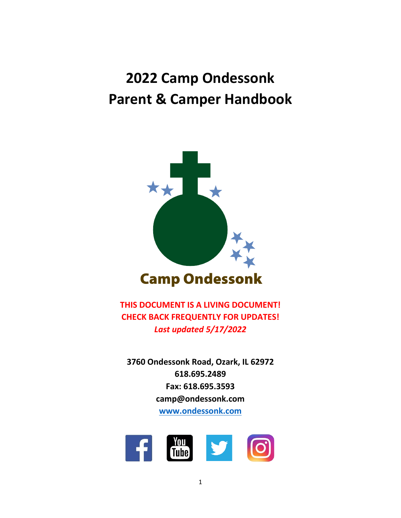# **2022 Camp Ondessonk Parent & Camper Handbook**



**THIS DOCUMENT IS A LIVING DOCUMENT! CHECK BACK FREQUENTLY FOR UPDATES!** *Last updated 5/17/2022*

**3760 Ondessonk Road, Ozark, IL 62972 618.695.2489 Fax: 618.695.3593 camp@ondessonk.com [www.ondessonk.com](http://www.ondessonk.com/)**

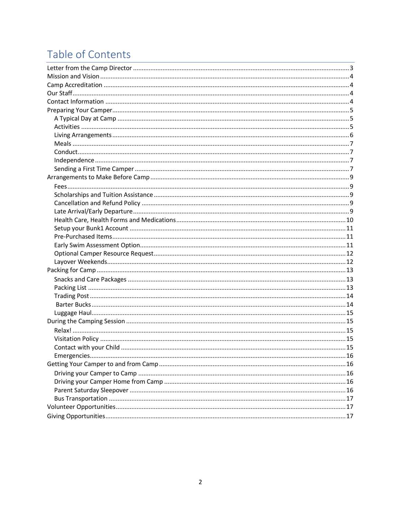# Table of Contents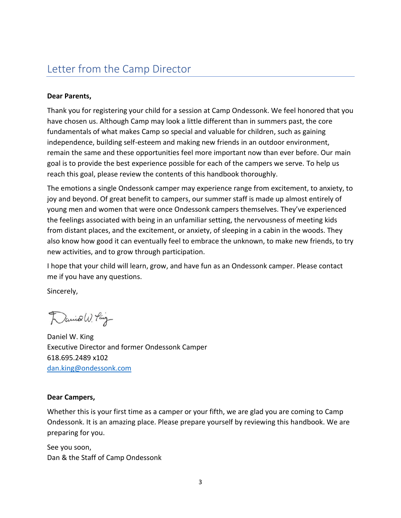### <span id="page-2-0"></span>Letter from the Camp Director

#### **Dear Parents,**

Thank you for registering your child for a session at Camp Ondessonk. We feel honored that you have chosen us. Although Camp may look a little different than in summers past, the core fundamentals of what makes Camp so special and valuable for children, such as gaining independence, building self-esteem and making new friends in an outdoor environment, remain the same and these opportunities feel more important now than ever before. Our main goal is to provide the best experience possible for each of the campers we serve. To help us reach this goal, please review the contents of this handbook thoroughly.

The emotions a single Ondessonk camper may experience range from excitement, to anxiety, to joy and beyond. Of great benefit to campers, our summer staff is made up almost entirely of young men and women that were once Ondessonk campers themselves. They've experienced the feelings associated with being in an unfamiliar setting, the nervousness of meeting kids from distant places, and the excitement, or anxiety, of sleeping in a cabin in the woods. They also know how good it can eventually feel to embrace the unknown, to make new friends, to try new activities, and to grow through participation.

I hope that your child will learn, grow, and have fun as an Ondessonk camper. Please contact me if you have any questions.

Sincerely,

Daniel W. Ping

Daniel W. King Executive Director and former Ondessonk Camper 618.695.2489 x102 [dan.king@ondessonk.com](mailto:dan.king@ondessonk.com)

#### **Dear Campers,**

Whether this is your first time as a camper or your fifth, we are glad you are coming to Camp Ondessonk. It is an amazing place. Please prepare yourself by reviewing this handbook. We are preparing for you.

See you soon, Dan & the Staff of Camp Ondessonk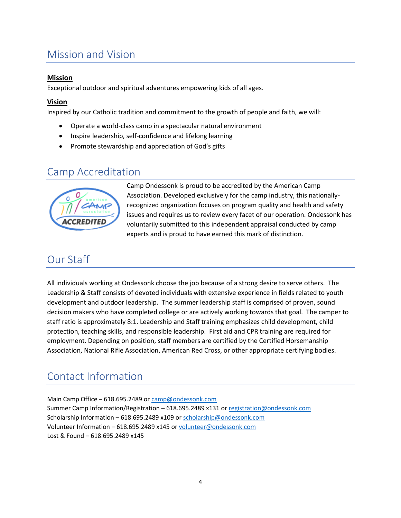## <span id="page-3-0"></span>Mission and Vision

#### **Mission**

Exceptional outdoor and spiritual adventures empowering kids of all ages.

#### **Vision**

Inspired by our Catholic tradition and commitment to the growth of people and faith, we will:

- Operate a world-class camp in a spectacular natural environment
- Inspire leadership, self-confidence and lifelong learning
- Promote stewardship and appreciation of God's gifts

### <span id="page-3-1"></span>Camp Accreditation



Camp Ondessonk is proud to be accredited by the American Camp Association. Developed exclusively for the camp industry, this nationallyrecognized organization focuses on program quality and health and safety issues and requires us to review every facet of our operation. Ondessonk has voluntarily submitted to this independent appraisal conducted by camp experts and is proud to have earned this mark of distinction.

### <span id="page-3-2"></span>Our Staff

All individuals working at Ondessonk choose the job because of a strong desire to serve others. The Leadership & Staff consists of devoted individuals with extensive experience in fields related to youth development and outdoor leadership. The summer leadership staff is comprised of proven, sound decision makers who have completed college or are actively working towards that goal. The camper to staff ratio is approximately 8:1. Leadership and Staff training emphasizes child development, child protection, teaching skills, and responsible leadership. First aid and CPR training are required for employment. Depending on position, staff members are certified by the Certified Horsemanship Association, National Rifle Association, American Red Cross, or other appropriate certifying bodies.

### <span id="page-3-3"></span>Contact Information

Main Camp Office – 618.695.2489 or [camp@ondessonk.com](mailto:camp@ondessonk.com) Summer Camp Information/Registration – 618.695.2489 x131 or [registration@ondessonk.com](mailto:registration@ondessonk.com) Scholarship Information – 618.695.2489 x109 o[r scholarship@ondessonk.com](mailto:scholarship@ondessonk.com) Volunteer Information – 618.695.2489 x145 or [volunteer@ondessonk.com](mailto:volunteer@ondessonk.com) Lost & Found – 618.695.2489 x145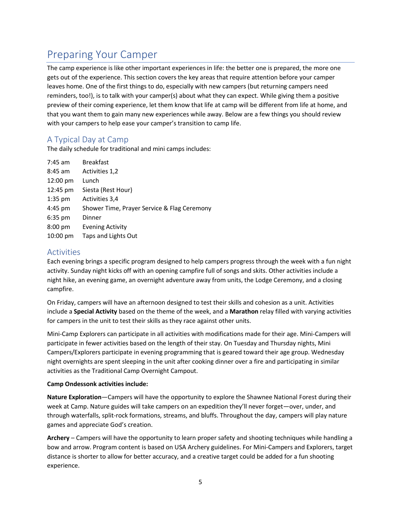### <span id="page-4-0"></span>Preparing Your Camper

The camp experience is like other important experiences in life: the better one is prepared, the more one gets out of the experience. This section covers the key areas that require attention before your camper leaves home. One of the first things to do, especially with new campers (but returning campers need reminders, too!), is to talk with your camper(s) about what they can expect. While giving them a positive preview of their coming experience, let them know that life at camp will be different from life at home, and that you want them to gain many new experiences while away. Below are a few things you should review with your campers to help ease your camper's transition to camp life.

#### <span id="page-4-1"></span>A Typical Day at Camp

The daily schedule for traditional and mini camps includes:

| 7:45 am   | <b>Breakfast</b>                            |
|-----------|---------------------------------------------|
| 8:45 am   | Activities 1,2                              |
| 12:00 pm  | Lunch                                       |
| 12:45 pm  | Siesta (Rest Hour)                          |
| $1:35$ pm | Activities 3,4                              |
| 4:45 pm   | Shower Time, Prayer Service & Flag Ceremony |
| $6:35$ pm | Dinner                                      |
| 8:00 pm   | <b>Evening Activity</b>                     |
| 10:00 pm  | Taps and Lights Out                         |
|           |                                             |

#### <span id="page-4-2"></span>Activities

Each evening brings a specific program designed to help campers progress through the week with a fun night activity. Sunday night kicks off with an opening campfire full of songs and skits. Other activities include a night hike, an evening game, an overnight adventure away from units, the Lodge Ceremony, and a closing campfire.

On Friday, campers will have an afternoon designed to test their skills and cohesion as a unit. Activities include a **Special Activity** based on the theme of the week, and a **Marathon** relay filled with varying activities for campers in the unit to test their skills as they race against other units.

Mini-Camp Explorers can participate in all activities with modifications made for their age. Mini-Campers will participate in fewer activities based on the length of their stay. On Tuesday and Thursday nights, Mini Campers/Explorers participate in evening programming that is geared toward their age group. Wednesday night overnights are spent sleeping in the unit after cooking dinner over a fire and participating in similar activities as the Traditional Camp Overnight Campout.

#### **Camp Ondessonk activities include:**

**Nature Exploration**—Campers will have the opportunity to explore the Shawnee National Forest during their week at Camp. Nature guides will take campers on an expedition they'll never forget—over, under, and through waterfalls, split-rock formations, streams, and bluffs. Throughout the day, campers will play nature games and appreciate God's creation.

**Archery** – Campers will have the opportunity to learn proper safety and shooting techniques while handling a bow and arrow. Program content is based on USA Archery guidelines. For Mini-Campers and Explorers, target distance is shorter to allow for better accuracy, and a creative target could be added for a fun shooting experience.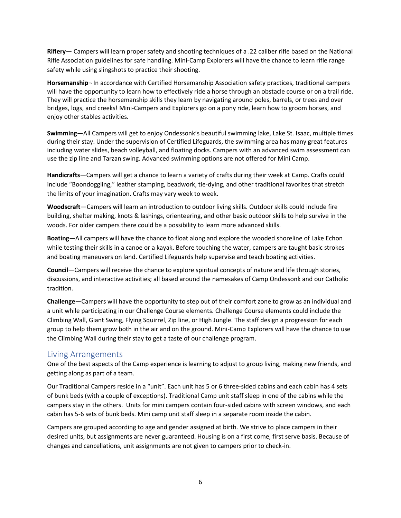**Riflery**— Campers will learn proper safety and shooting techniques of a .22 caliber rifle based on the National Rifle Association guidelines for safe handling. Mini-Camp Explorers will have the chance to learn rifle range safety while using slingshots to practice their shooting.

**Horsemanship**¬ In accordance with Certified Horsemanship Association safety practices, traditional campers will have the opportunity to learn how to effectively ride a horse through an obstacle course or on a trail ride. They will practice the horsemanship skills they learn by navigating around poles, barrels, or trees and over bridges, logs, and creeks! Mini-Campers and Explorers go on a pony ride, learn how to groom horses, and enjoy other stables activities.

**Swimming**—All Campers will get to enjoy Ondessonk's beautiful swimming lake, Lake St. Isaac, multiple times during their stay. Under the supervision of Certified Lifeguards, the swimming area has many great features including water slides, beach volleyball, and floating docks. Campers with an advanced swim assessment can use the zip line and Tarzan swing. Advanced swimming options are not offered for Mini Camp.

**Handicrafts**—Campers will get a chance to learn a variety of crafts during their week at Camp. Crafts could include "Boondoggling," leather stamping, beadwork, tie-dying, and other traditional favorites that stretch the limits of your imagination. Crafts may vary week to week.

**Woodscraft**—Campers will learn an introduction to outdoor living skills. Outdoor skills could include fire building, shelter making, knots & lashings, orienteering, and other basic outdoor skills to help survive in the woods. For older campers there could be a possibility to learn more advanced skills.

**Boating**—All campers will have the chance to float along and explore the wooded shoreline of Lake Echon while testing their skills in a canoe or a kayak. Before touching the water, campers are taught basic strokes and boating maneuvers on land. Certified Lifeguards help supervise and teach boating activities.

**Council**—Campers will receive the chance to explore spiritual concepts of nature and life through stories, discussions, and interactive activities; all based around the namesakes of Camp Ondessonk and our Catholic tradition.

**Challenge**—Campers will have the opportunity to step out of their comfort zone to grow as an individual and a unit while participating in our Challenge Course elements. Challenge Course elements could include the Climbing Wall, Giant Swing, Flying Squirrel, Zip line, or High Jungle. The staff design a progression for each group to help them grow both in the air and on the ground. Mini-Camp Explorers will have the chance to use the Climbing Wall during their stay to get a taste of our challenge program.

#### <span id="page-5-0"></span>Living Arrangements

One of the best aspects of the Camp experience is learning to adjust to group living, making new friends, and getting along as part of a team.

Our Traditional Campers reside in a "unit". Each unit has 5 or 6 three-sided cabins and each cabin has 4 sets of bunk beds (with a couple of exceptions). Traditional Camp unit staff sleep in one of the cabins while the campers stay in the others. Units for mini campers contain four-sided cabins with screen windows, and each cabin has 5-6 sets of bunk beds. Mini camp unit staff sleep in a separate room inside the cabin.

Campers are grouped according to age and gender assigned at birth. We strive to place campers in their desired units, but assignments are never guaranteed. Housing is on a first come, first serve basis. Because of changes and cancellations, unit assignments are not given to campers prior to check-in.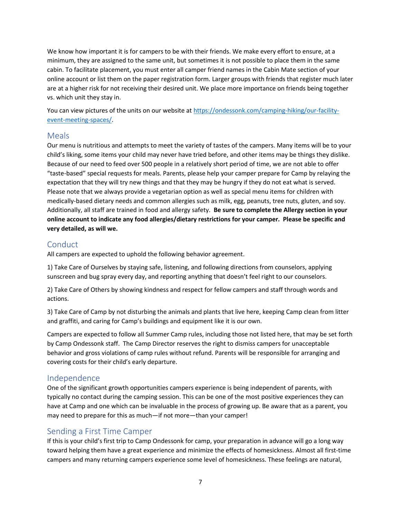We know how important it is for campers to be with their friends. We make every effort to ensure, at a minimum, they are assigned to the same unit, but sometimes it is not possible to place them in the same cabin. To facilitate placement, you must enter all camper friend names in the Cabin Mate section of your online account or list them on the paper registration form. Larger groups with friends that register much later are at a higher risk for not receiving their desired unit. We place more importance on friends being together vs. which unit they stay in.

You can view pictures of the units on our website a[t https://ondessonk.com/camping-hiking/our-facility](https://ondessonk.com/camping-hiking/our-facility-event-meeting-spaces/)[event-meeting-spaces/.](https://ondessonk.com/camping-hiking/our-facility-event-meeting-spaces/)

#### <span id="page-6-0"></span>Meals

Our menu is nutritious and attempts to meet the variety of tastes of the campers. Many items will be to your child's liking, some items your child may never have tried before, and other items may be things they dislike. Because of our need to feed over 500 people in a relatively short period of time, we are not able to offer "taste-based" special requests for meals. Parents, please help your camper prepare for Camp by relaying the expectation that they will try new things and that they may be hungry if they do not eat what is served. Please note that we always provide a vegetarian option as well as special menu items for children with medically-based dietary needs and common allergies such as milk, egg, peanuts, tree nuts, gluten, and soy. Additionally, all staff are trained in food and allergy safety. **Be sure to complete the Allergy section in your online account to indicate any food allergies/dietary restrictions for your camper. Please be specific and very detailed, as will we.**

#### <span id="page-6-1"></span>Conduct

All campers are expected to uphold the following behavior agreement.

1) Take Care of Ourselves by staying safe, listening, and following directions from counselors, applying sunscreen and bug spray every day, and reporting anything that doesn't feel right to our counselors.

2) Take Care of Others by showing kindness and respect for fellow campers and staff through words and actions.

3) Take Care of Camp by not disturbing the animals and plants that live here, keeping Camp clean from litter and graffiti, and caring for Camp's buildings and equipment like it is our own.

Campers are expected to follow all Summer Camp rules, including those not listed here, that may be set forth by Camp Ondessonk staff. The Camp Director reserves the right to dismiss campers for unacceptable behavior and gross violations of camp rules without refund. Parents will be responsible for arranging and covering costs for their child's early departure.

#### <span id="page-6-2"></span>Independence

One of the significant growth opportunities campers experience is being independent of parents, with typically no contact during the camping session. This can be one of the most positive experiences they can have at Camp and one which can be invaluable in the process of growing up. Be aware that as a parent, you may need to prepare for this as much—if not more—than your camper!

#### <span id="page-6-3"></span>Sending a First Time Camper

If this is your child's first trip to Camp Ondessonk for camp, your preparation in advance will go a long way toward helping them have a great experience and minimize the effects of homesickness. Almost all first-time campers and many returning campers experience some level of homesickness. These feelings are natural,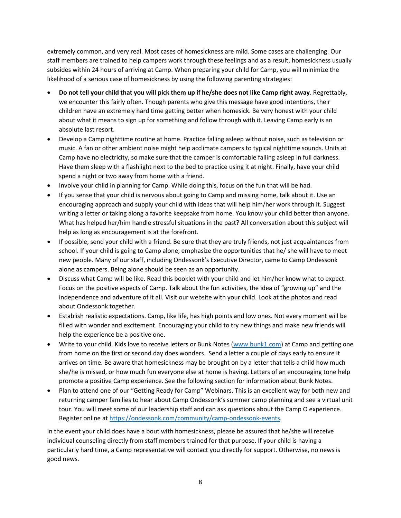extremely common, and very real. Most cases of homesickness are mild. Some cases are challenging. Our staff members are trained to help campers work through these feelings and as a result, homesickness usually subsides within 24 hours of arriving at Camp. When preparing your child for Camp, you will minimize the likelihood of a serious case of homesickness by using the following parenting strategies:

- **Do not tell your child that you will pick them up if he/she does not like Camp right away**. Regrettably, we encounter this fairly often. Though parents who give this message have good intentions, their children have an extremely hard time getting better when homesick. Be very honest with your child about what it means to sign up for something and follow through with it. Leaving Camp early is an absolute last resort.
- Develop a Camp nighttime routine at home. Practice falling asleep without noise, such as television or music. A fan or other ambient noise might help acclimate campers to typical nighttime sounds. Units at Camp have no electricity, so make sure that the camper is comfortable falling asleep in full darkness. Have them sleep with a flashlight next to the bed to practice using it at night. Finally, have your child spend a night or two away from home with a friend.
- Involve your child in planning for Camp. While doing this, focus on the fun that will be had.
- If you sense that your child is nervous about going to Camp and missing home, talk about it. Use an encouraging approach and supply your child with ideas that will help him/her work through it. Suggest writing a letter or taking along a favorite keepsake from home. You know your child better than anyone. What has helped her/him handle stressful situations in the past? All conversation about this subject will help as long as encouragement is at the forefront.
- If possible, send your child with a friend. Be sure that they are truly friends, not just acquaintances from school. If your child is going to Camp alone, emphasize the opportunities that he/ she will have to meet new people. Many of our staff, including Ondessonk's Executive Director, came to Camp Ondessonk alone as campers. Being alone should be seen as an opportunity.
- Discuss what Camp will be like. Read this booklet with your child and let him/her know what to expect. Focus on the positive aspects of Camp. Talk about the fun activities, the idea of "growing up" and the independence and adventure of it all. Visit our website with your child. Look at the photos and read about Ondessonk together.
- Establish realistic expectations. Camp, like life, has high points and low ones. Not every moment will be filled with wonder and excitement. Encouraging your child to try new things and make new friends will help the experience be a positive one.
- Write to your child. Kids love to receive letters or Bunk Notes [\(www.bunk1.com\)](http://www.bunk1.com/) at Camp and getting one from home on the first or second day does wonders. Send a letter a couple of days early to ensure it arrives on time. Be aware that homesickness may be brought on by a letter that tells a child how much she/he is missed, or how much fun everyone else at home is having. Letters of an encouraging tone help promote a positive Camp experience. See the following section for information about Bunk Notes.
- Plan to attend one of our "Getting Ready for Camp" Webinars. This is an excellent way for both new and returning camper families to hear about Camp Ondessonk's summer camp planning and see a virtual unit tour. You will meet some of our leadership staff and can ask questions about the Camp O experience. Register online at [https://ondessonk.com/community/camp-ondessonk-events.](https://ondessonk.com/community/camp-ondessonk-events)

In the event your child does have a bout with homesickness, please be assured that he/she will receive individual counseling directly from staff members trained for that purpose. If your child is having a particularly hard time, a Camp representative will contact you directly for support. Otherwise, no news is good news.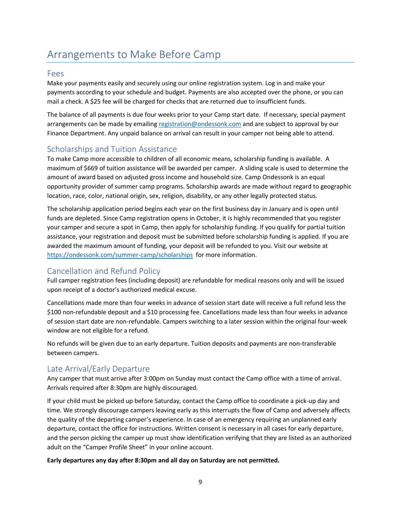# <span id="page-8-0"></span>Arrangements to Make Before Camp

#### <span id="page-8-1"></span>Fees

Make your payments easily and securely using our online registration system. Log in and make your payments according to your schedule and budget. Payments are also accepted over the phone, or you can mail a check. A \$25 fee will be charged for checks that are returned due to insufficient funds.

The balance of all payments is due four weeks prior to your Camp start date. If necessary, special payment arrangements can be made by emailin[g registration@ondessonk.com](mailto:registration@ondessonk.com) and are subject to approval by our Finance Department. Any unpaid balance on arrival can result in your camper not being able to attend.

#### <span id="page-8-2"></span>Scholarships and Tuition Assistance

To make Camp more accessible to children of all economic means, scholarship funding is available. A maximum of \$669 of tuition assistance will be awarded per camper. A sliding scale is used to determine the amount of award based on adjusted gross income and household size. Camp Ondessonk is an equal opportunity provider of summer camp programs. Scholarship awards are made without regard to geographic location, race, color, national origin, sex, religion, disability, or any other legally protected status.

The scholarship application period begins each year on the first business day in January and is open until funds are depleted. Since Camp registration opens in October, it is highly recommended that you register your camper and secure a spot in Camp, then apply for scholarship funding. If you qualify for partial tuition assistance, your registration and deposit must be submitted before scholarship funding is applied. If you are awarded the maximum amount of funding, your deposit will be refunded to you. Visit our website at <https://ondessonk.com/summer-camp/scholarships> for more information.

#### <span id="page-8-3"></span>Cancellation and Refund Policy

Full camper registration fees (including deposit) are refundable for medical reasons only and will be issued upon receipt of a doctor's authorized medical excuse.

Cancellations made more than four weeks in advance of session start date will receive a full refund less the \$100 non-refundable deposit and a \$10 processing fee. Cancellations made less than four weeks in advance of session start date are non-refundable. Campers switching to a later session within the original four-week window are not eligible for a refund.

No refunds will be given due to an early departure. Tuition deposits and payments are non-transferable between campers.

#### <span id="page-8-4"></span>Late Arrival/Early Departure

Any camper that must arrive after 3:00pm on Sunday must contact the Camp office with a time of arrival. Arrivals required after 8:30pm are highly discouraged.

If your child must be picked up before Saturday, contact the Camp office to coordinate a pick-up day and time. We strongly discourage campers leaving early as this interrupts the flow of Camp and adversely affects the quality of the departing camper's experience. In case of an emergency requiring an unplanned early departure, contact the office for instructions. Written consent is necessary in all cases for early departure, and the person picking the camper up must show identification verifying that they are listed as an authorized adult on the "Camper Profile Sheet" in your online account.

#### **Early departures any day after 8:30pm and all day on Saturday are not permitted.**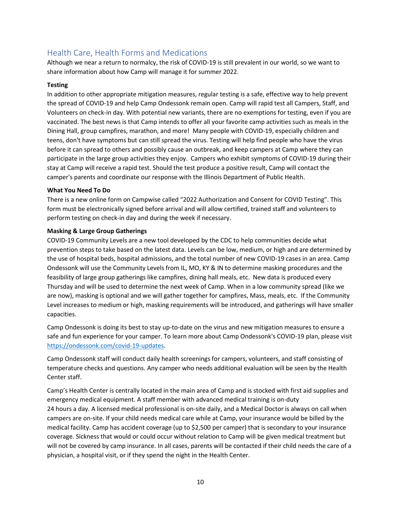#### <span id="page-9-0"></span>Health Care, Health Forms and Medications

Although we near a return to normalcy, the risk of COVID-19 is still prevalent in our world, so we want to share information about how Camp will manage it for summer 2022.

#### **Testing**

In addition to other appropriate mitigation measures, regular testing is a safe, effective way to help prevent the spread of COVID-19 and help Camp Ondessonk remain open. Camp will rapid test all Campers, Staff, and Volunteers on check-in day. With potential new variants, there are no exemptions for testing, even if you are vaccinated. The best news is that Camp intends to offer all your favorite camp activities such as meals in the Dining Hall, group campfires, marathon, and more! Many people with COVID-19, especially children and teens, don't have symptoms but can still spread the virus. Testing will help find people who have the virus before it can spread to others and possibly cause an outbreak, and keep campers at Camp where they can participate in the large group activities they enjoy. Campers who exhibit symptoms of COVID-19 during their stay at Camp will receive a rapid test. Should the test produce a positive result, Camp will contact the camper's parents and coordinate our response with the Illinois Department of Public Health.

#### **What You Need To Do**

There is a new online form on Campwise called "2022 Authorization and Consent for COVID Testing". This form must be electronically signed before arrival and will allow certified, trained staff and volunteers to perform testing on check-in day and during the week if necessary.

#### **Masking & Large Group Gatherings**

COVID-19 Community Levels are a new tool developed by the CDC to help communities decide what prevention steps to take based on the latest data. Levels can be low, medium, or high and are determined by the use of hospital beds, hospital admissions, and the total number of new COVID-19 cases in an area. Camp Ondessonk will use the Community Levels from IL, MO, KY & IN to determine masking procedures and the feasibility of large group gatherings like campfires, dining hall meals, etc. New data is produced every Thursday and will be used to determine the next week of Camp. When in a low community spread (like we are now), masking is optional and we will gather together for campfires, Mass, meals, etc. If the Community Level increases to medium or high, masking requirements will be introduced, and gatherings will have smaller capacities.

Camp Ondessonk is doing its best to stay up-to-date on the virus and new mitigation measures to ensure a safe and fun experience for your camper. To learn more about Camp Ondessonk's COVID-19 plan, please visit [https://ondessonk.com/covid-19-updates.](https://ondessonk.com/covid-19-updates)

Camp Ondessonk staff will conduct daily health screenings for campers, volunteers, and staff consisting of temperature checks and questions. Any camper who needs additional evaluation will be seen by the Health Center staff.

Camp's Health Center is centrally located in the main area of Camp and is stocked with first aid supplies and emergency medical equipment. A staff member with advanced medical training is on-duty 24 hours a day. A licensed medical professional is on-site daily, and a Medical Doctor is always on call when campers are on-site. If your child needs medical care while at Camp, your insurance would be billed by the medical facility. Camp has accident coverage (up to \$2,500 per camper) that is secondary to your insurance coverage. Sickness that would or could occur without relation to Camp will be given medical treatment but will not be covered by camp insurance. In all cases, parents will be contacted if their child needs the care of a physician, a hospital visit, or if they spend the night in the Health Center.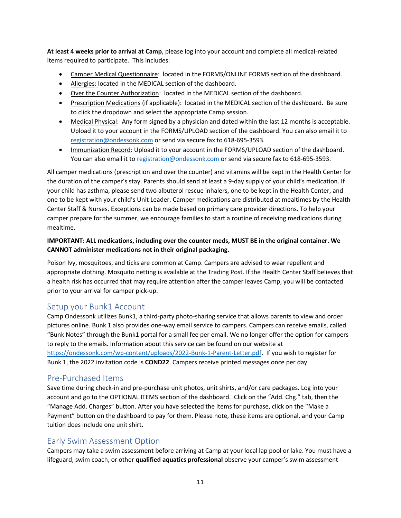**At least 4 weeks prior to arrival at Camp**, please log into your account and complete all medical-related items required to participate. This includes:

- Camper Medical Questionnaire: located in the FORMS/ONLINE FORMS section of the dashboard.
- Allergies: located in the MEDICAL section of the dashboard.
- Over the Counter Authorization: located in the MEDICAL section of the dashboard.
- Prescription Medications (if applicable): located in the MEDICAL section of the dashboard. Be sure to click the dropdown and select the appropriate Camp session.
- Medical Physical: Any form signed by a physician and dated within the last 12 months is acceptable. Upload it to your account in the FORMS/UPLOAD section of the dashboard. You can also email it to [registration@ondessonk.com](mailto:registration@ondessonk.com) or send via secure fax to 618-695-3593.
- Immunization Record: Upload it to your account in the FORMS/UPLOAD section of the dashboard. You can also email it to [registration@ondessonk.com](mailto:registration@ondessonk.com) or send via secure fax to 618-695-3593.

All camper medications (prescription and over the counter) and vitamins will be kept in the Health Center for the duration of the camper's stay. Parents should send at least a 9-day supply of your child's medication. If your child has asthma, please send two albuterol rescue inhalers, one to be kept in the Health Center, and one to be kept with your child's Unit Leader. Camper medications are distributed at mealtimes by the Health Center Staff & Nurses. Exceptions can be made based on primary care provider directions. To help your camper prepare for the summer, we encourage families to start a routine of receiving medications during mealtime.

#### **IMPORTANT: ALL medications, including over the counter meds, MUST BE in the original container. We CANNOT administer medications not in their original packaging.**

Poison Ivy, mosquitoes, and ticks are common at Camp. Campers are advised to wear repellent and appropriate clothing. Mosquito netting is available at the Trading Post. If the Health Center Staff believes that a health risk has occurred that may require attention after the camper leaves Camp, you will be contacted prior to your arrival for camper pick-up.

#### <span id="page-10-0"></span>Setup your Bunk1 Account

Camp Ondessonk utilizes Bunk1, a third-party photo-sharing service that allows parents to view and order pictures online. Bunk 1 also provides one-way email service to campers. Campers can receive emails, called "Bunk Notes" through the Bunk1 portal for a small fee per email. We no longer offer the option for campers to reply to the emails. Information about this service can be found on our website at [https://ondessonk.com/wp-content/uploads/2022-Bunk-1-Parent-Letter.pdf.](https://ondessonk.com/wp-content/uploads/2022-Bunk-1-Parent-Letter.pdf) If you wish to register for Bunk 1, the 2022 invitation code is **COND22**. Campers receive printed messages once per day.

#### <span id="page-10-1"></span>Pre-Purchased Items

Save time during check-in and pre-purchase unit photos, unit shirts, and/or care packages. Log into your account and go to the OPTIONAL ITEMS section of the dashboard. Click on the "Add. Chg." tab, then the "Manage Add. Charges" button. After you have selected the items for purchase, click on the "Make a Payment" button on the dashboard to pay for them. Please note, these items are optional, and your Camp tuition does include one unit shirt.

#### <span id="page-10-2"></span>Early Swim Assessment Option

Campers may take a swim assessment before arriving at Camp at your local lap pool or lake. You must have a lifeguard, swim coach, or other **qualified aquatics professional** observe your camper's swim assessment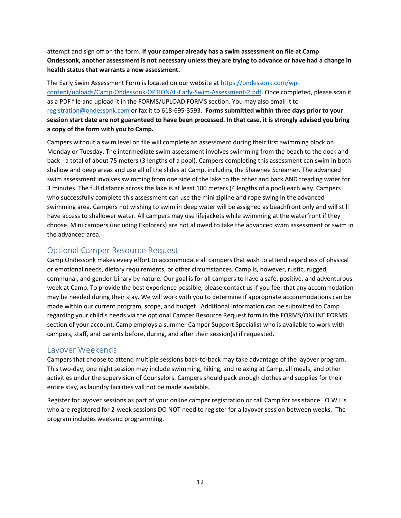attempt and sign off on the form. **If your camper already has a swim assessment on file at Camp Ondessonk, another assessment is not necessary unless they are trying to advance or have had a change in health status that warrants a new assessment.**

The Early Swim Assessment Form is located on our website at [https://ondessonk.com/wp](https://ondessonk.com/wp-content/uploads/Camp-Ondessonk-OPTIONAL-Early-Swim-Assessment-2.pdf)[content/uploads/Camp-Ondessonk-OPTIONAL-Early-Swim-Assessment-2.pdf.](https://ondessonk.com/wp-content/uploads/Camp-Ondessonk-OPTIONAL-Early-Swim-Assessment-2.pdf) Once completed, please scan it as a PDF file and upload it in the FORMS/UPLOAD FORMS section. You may also email it to [registration@ondessonk.com](mailto:registration@ondessonk.com) or fax it to 618-695-3593. **Forms submitted within three days prior to your session start date are not guaranteed to have been processed. In that case, it is strongly advised you bring a copy of the form with you to Camp.** 

Campers without a swim level on file will complete an assessment during their first swimming block on Monday or Tuesday. The intermediate swim assessment involves swimming from the beach to the dock and back - a total of about 75 meters (3 lengths of a pool). Campers completing this assessment can swim in both shallow and deep areas and use all of the slides at Camp, including the Shawnee Screamer. The advanced swim assessment involves swimming from one side of the lake to the other and back AND treading water for 3 minutes. The full distance across the lake is at least 100 meters (4 lengths of a pool) each way. Campers who successfully complete this assessment can use the mini zipline and rope swing in the advanced swimming area. Campers not wishing to swim in deep water will be assigned as beachfront only and will still have access to shallower water. All campers may use lifejackets while swimming at the waterfront if they choose. Mini campers (including Explorers) are not allowed to take the advanced swim assessment or swim in the advanced area.

#### <span id="page-11-0"></span>Optional Camper Resource Request

Camp Ondessonk makes every effort to accommodate all campers that wish to attend regardless of physical or emotional needs, dietary requirements, or other circumstances. Camp is, however, rustic, rugged, communal, and gender-binary by nature. Our goal is for all campers to have a safe, positive, and adventurous week at Camp. To provide the best experience possible, please contact us if you feel that any accommodation may be needed during their stay. We will work with you to determine if appropriate accommodations can be made within our current program, scope, and budget. Additional information can be submitted to Camp regarding your child's needs via the optional Camper Resource Request form in the FORMS/ONLINE FORMS section of your account. Camp employs a summer Camper Support Specialist who is available to work with campers, staff, and parents before, during, and after their session(s) if requested.

#### <span id="page-11-1"></span>Layover Weekends

Campers that choose to attend multiple sessions back-to-back may take advantage of the layover program. This two-day, one night session may include swimming, hiking, and relaxing at Camp, all meals, and other activities under the supervision of Counselors. Campers should pack enough clothes and supplies for their entire stay, as laundry facilities will not be made available.

Register for layover sessions as part of your online camper registration or call Camp for assistance. O.W.L.s who are registered for 2-week sessions DO NOT need to register for a layover session between weeks. The program includes weekend programming.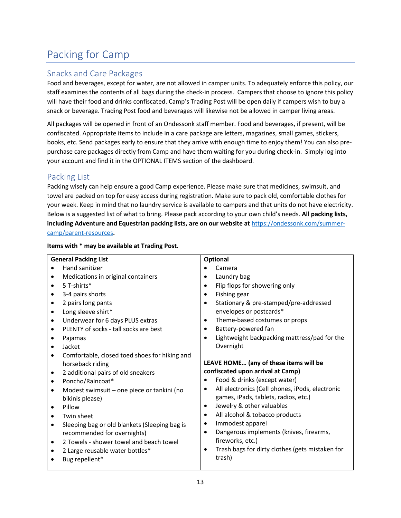# <span id="page-12-0"></span>Packing for Camp

#### <span id="page-12-1"></span>Snacks and Care Packages

Food and beverages, except for water, are not allowed in camper units. To adequately enforce this policy, our staff examines the contents of all bags during the check-in process. Campers that choose to ignore this policy will have their food and drinks confiscated. Camp's Trading Post will be open daily if campers wish to buy a snack or beverage. Trading Post food and beverages will likewise not be allowed in camper living areas.

All packages will be opened in front of an Ondessonk staff member. Food and beverages, if present, will be confiscated. Appropriate items to include in a care package are letters, magazines, small games, stickers, books, etc. Send packages early to ensure that they arrive with enough time to enjoy them! You can also prepurchase care packages directly from Camp and have them waiting for you during check-in. Simply log into your account and find it in the OPTIONAL ITEMS section of the dashboard.

#### <span id="page-12-2"></span>Packing List

Packing wisely can help ensure a good Camp experience. Please make sure that medicines, swimsuit, and towel are packed on top for easy access during registration. Make sure to pack old, comfortable clothes for your week. Keep in mind that no laundry service is available to campers and that units do not have electricity. Below is a suggested list of what to bring. Please pack according to your own child's needs. **All packing lists, including Adventure and Equestrian packing lists, are on our website at** [https://ondessonk.com/summer](https://ondessonk.com/summer-camp/parent-resources)[camp/parent-resources](https://ondessonk.com/summer-camp/parent-resources)**.** 

| <b>General Packing List</b>                                | <b>Optional</b>                                      |
|------------------------------------------------------------|------------------------------------------------------|
| Hand sanitizer<br>$\bullet$                                | Camera                                               |
| Medications in original containers                         | Laundry bag                                          |
| $\bullet$                                                  | $\bullet$                                            |
| 5 T-shirts*                                                | Flip flops for showering only                        |
| $\bullet$                                                  | $\bullet$                                            |
| 3-4 pairs shorts                                           | Fishing gear                                         |
| $\bullet$                                                  | $\bullet$                                            |
| 2 pairs long pants                                         | Stationary & pre-stamped/pre-addressed               |
| $\bullet$                                                  | $\bullet$                                            |
| Long sleeve shirt*<br>$\bullet$                            | envelopes or postcards*                              |
| Underwear for 6 days PLUS extras                           | Theme-based costumes or props                        |
| $\bullet$                                                  | $\bullet$                                            |
| PLENTY of socks - tall socks are best                      | Battery-powered fan                                  |
| $\bullet$                                                  | ٠                                                    |
| Pajamas                                                    | Lightweight backpacking mattress/pad for the         |
| $\bullet$                                                  | $\bullet$                                            |
| Jacket<br>$\bullet$                                        | Overnight                                            |
| Comfortable, closed toed shoes for hiking and<br>$\bullet$ |                                                      |
| horseback riding                                           | LEAVE HOME (any of these items will be               |
| 2 additional pairs of old sneakers<br>$\bullet$            | confiscated upon arrival at Camp)                    |
| Poncho/Raincoat*                                           | Food & drinks (except water)                         |
| $\bullet$                                                  | ٠                                                    |
| Modest swimsuit - one piece or tankini (no                 | All electronics (Cell phones, iPods, electronic      |
| $\bullet$                                                  | $\bullet$                                            |
| bikinis please)                                            | games, iPads, tablets, radios, etc.)                 |
| Pillow                                                     | Jewelry & other valuables                            |
| $\bullet$                                                  | $\bullet$                                            |
| Twin sheet                                                 | All alcohol & tobacco products                       |
| $\bullet$                                                  | $\bullet$                                            |
| Sleeping bag or old blankets (Sleeping bag is              | Immodest apparel                                     |
| $\bullet$                                                  | ٠                                                    |
| recommended for overnights)                                | Dangerous implements (knives, firearms,<br>$\bullet$ |
| 2 Towels - shower towel and beach towel<br>$\bullet$       | fireworks, etc.)                                     |
| 2 Large reusable water bottles*                            | Trash bags for dirty clothes (gets mistaken for      |
| ٠                                                          | $\bullet$                                            |
| Bug repellent*<br>$\bullet$                                | trash)                                               |

#### **Items with \* may be available at Trading Post.**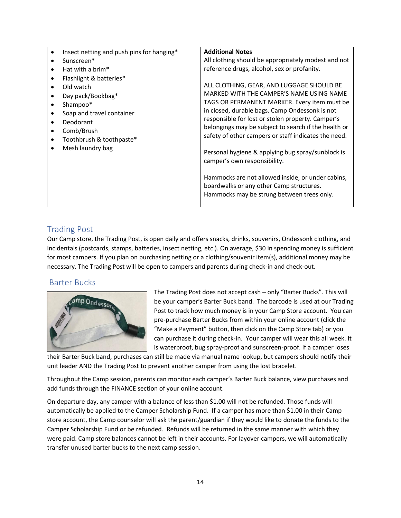| $\bullet$ | Insect netting and push pins for hanging* | <b>Additional Notes</b>                                                                                                                     |
|-----------|-------------------------------------------|---------------------------------------------------------------------------------------------------------------------------------------------|
|           | Sunscreen*                                | All clothing should be appropriately modest and not                                                                                         |
| $\bullet$ | Hat with a brim $*$                       | reference drugs, alcohol, sex or profanity.                                                                                                 |
| $\bullet$ | Flashlight & batteries*                   |                                                                                                                                             |
|           | Old watch                                 | ALL CLOTHING, GEAR, AND LUGGAGE SHOULD BE                                                                                                   |
| $\bullet$ | Day pack/Bookbag*                         | MARKED WITH THE CAMPER'S NAME USING NAME                                                                                                    |
| ٠         | Shampoo*                                  | TAGS OR PERMANENT MARKER. Every item must be                                                                                                |
|           | Soap and travel container                 | in closed, durable bags. Camp Ondessonk is not                                                                                              |
| $\bullet$ | Deodorant                                 | responsible for lost or stolen property. Camper's                                                                                           |
| ٠         | Comb/Brush                                | belongings may be subject to search if the health or                                                                                        |
| $\bullet$ | Toothbrush & toothpaste*                  | safety of other campers or staff indicates the need.                                                                                        |
|           | Mesh laundry bag                          | Personal hygiene & applying bug spray/sunblock is<br>camper's own responsibility.                                                           |
|           |                                           | Hammocks are not allowed inside, or under cabins,<br>boardwalks or any other Camp structures.<br>Hammocks may be strung between trees only. |

#### <span id="page-13-0"></span>Trading Post

Our Camp store, the Trading Post, is open daily and offers snacks, drinks, souvenirs, Ondessonk clothing, and incidentals (postcards, stamps, batteries, insect netting, etc.). On average, \$30 in spending money is sufficient for most campers. If you plan on purchasing netting or a clothing/souvenir item(s), additional money may be necessary. The Trading Post will be open to campers and parents during check-in and check-out.

#### <span id="page-13-1"></span>Barter Bucks



The Trading Post does not accept cash – only "Barter Bucks". This will be your camper's Barter Buck band. The barcode is used at our Trading Post to track how much money is in your Camp Store account. You can pre-purchase Barter Bucks from within your online account (click the "Make a Payment" button, then click on the Camp Store tab) or you can purchase it during check-in. Your camper will wear this all week. It is waterproof, bug spray-proof and sunscreen-proof. If a camper loses

their Barter Buck band, purchases can still be made via manual name lookup, but campers should notify their unit leader AND the Trading Post to prevent another camper from using the lost bracelet.

Throughout the Camp session, parents can monitor each camper's Barter Buck balance, view purchases and add funds through the FINANCE section of your online account.

On departure day, any camper with a balance of less than \$1.00 will not be refunded. Those funds will automatically be applied to the Camper Scholarship Fund. If a camper has more than \$1.00 in their Camp store account, the Camp counselor will ask the parent/guardian if they would like to donate the funds to the Camper Scholarship Fund or be refunded. Refunds will be returned in the same manner with which they were paid. Camp store balances cannot be left in their accounts. For layover campers, we will automatically transfer unused barter bucks to the next camp session.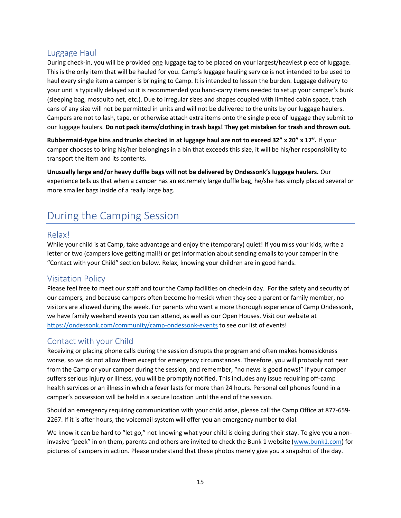#### <span id="page-14-0"></span>Luggage Haul

During check-in, you will be provided one luggage tag to be placed on your largest/heaviest piece of luggage. This is the only item that will be hauled for you. Camp's luggage hauling service is not intended to be used to haul every single item a camper is bringing to Camp. It is intended to lessen the burden. Luggage delivery to your unit is typically delayed so it is recommended you hand-carry items needed to setup your camper's bunk (sleeping bag, mosquito net, etc.). Due to irregular sizes and shapes coupled with limited cabin space, trash cans of any size will not be permitted in units and will not be delivered to the units by our luggage haulers. Campers are not to lash, tape, or otherwise attach extra items onto the single piece of luggage they submit to our luggage haulers. **Do not pack items/clothing in trash bags! They get mistaken for trash and thrown out.**

**Rubbermaid-type bins and trunks checked in at luggage haul are not to exceed 32" x 20" x 17".** If your camper chooses to bring his/her belongings in a bin that exceeds this size, it will be his/her responsibility to transport the item and its contents.

**Unusually large and/or heavy duffle bags will not be delivered by Ondessonk's luggage haulers.** Our experience tells us that when a camper has an extremely large duffle bag, he/she has simply placed several or more smaller bags inside of a really large bag.

### <span id="page-14-1"></span>During the Camping Session

#### <span id="page-14-2"></span>Relax!

While your child is at Camp, take advantage and enjoy the (temporary) quiet! If you miss your kids, write a letter or two (campers love getting mail!) or get information about sending emails to your camper in the "Contact with your Child" section below. Relax, knowing your children are in good hands.

#### <span id="page-14-3"></span>Visitation Policy

Please feel free to meet our staff and tour the Camp facilities on check-in day. For the safety and security of our campers, and because campers often become homesick when they see a parent or family member, no visitors are allowed during the week. For parents who want a more thorough experience of Camp Ondessonk, we have family weekend events you can attend, as well as our Open Houses. Visit our website at <https://ondessonk.com/community/camp-ondessonk-events> to see our list of events!

#### <span id="page-14-4"></span>Contact with your Child

Receiving or placing phone calls during the session disrupts the program and often makes homesickness worse, so we do not allow them except for emergency circumstances. Therefore, you will probably not hear from the Camp or your camper during the session, and remember, "no news is good news!" If your camper suffers serious injury or illness, you will be promptly notified. This includes any issue requiring off-camp health services or an illness in which a fever lasts for more than 24 hours. Personal cell phones found in a camper's possession will be held in a secure location until the end of the session.

Should an emergency requiring communication with your child arise, please call the Camp Office at 877-659- 2267. If it is after hours, the voicemail system will offer you an emergency number to dial.

We know it can be hard to "let go," not knowing what your child is doing during their stay. To give you a noninvasive "peek" in on them, parents and others are invited to check the Bunk 1 website ([www.bunk1.com\)](http://www.bunk1.com/) for pictures of campers in action. Please understand that these photos merely give you a snapshot of the day.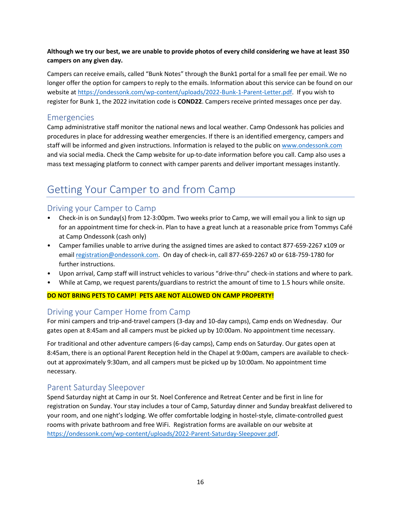#### **Although we try our best, we are unable to provide photos of every child considering we have at least 350 campers on any given day.**

Campers can receive emails, called "Bunk Notes" through the Bunk1 portal for a small fee per email. We no longer offer the option for campers to reply to the emails. Information about this service can be found on our website at [https://ondessonk.com/wp-content/uploads/2022-Bunk-1-Parent-Letter.pdf.](https://ondessonk.com/wp-content/uploads/2022-Bunk-1-Parent-Letter.pdf) If you wish to register for Bunk 1, the 2022 invitation code is **COND22**. Campers receive printed messages once per day.

#### <span id="page-15-0"></span>Emergencies

Camp administrative staff monitor the national news and local weather. Camp Ondessonk has policies and procedures in place for addressing weather emergencies. If there is an identified emergency, campers and staff will be informed and given instructions. Information is relayed to the public o[n www.ondessonk.com](http://www.ondessonk.com/) and via social media. Check the Camp website for up-to-date information before you call. Camp also uses a mass text messaging platform to connect with camper parents and deliver important messages instantly.

### <span id="page-15-1"></span>Getting Your Camper to and from Camp

#### <span id="page-15-2"></span>Driving your Camper to Camp

- Check-in is on Sunday(s) from 12-3:00pm. Two weeks prior to Camp, we will email you a link to sign up for an appointment time for check-in. Plan to have a great lunch at a reasonable price from Tommys Café at Camp Ondessonk (cash only)
- Camper families unable to arrive during the assigned times are asked to contact 877-659-2267 x109 or email [registration@ondessonk.com.](mailto:registration@ondessonk.com) On day of check-in, call 877-659-2267 x0 or 618-759-1780 for further instructions.
- Upon arrival, Camp staff will instruct vehicles to various "drive-thru" check-in stations and where to park.
- While at Camp, we request parents/guardians to restrict the amount of time to 1.5 hours while onsite.

#### **DO NOT BRING PETS TO CAMP! PETS ARE NOT ALLOWED ON CAMP PROPERTY!**

#### <span id="page-15-3"></span>Driving your Camper Home from Camp

For mini campers and trip-and-travel campers (3-day and 10-day camps), Camp ends on Wednesday. Our gates open at 8:45am and all campers must be picked up by 10:00am. No appointment time necessary.

For traditional and other adventure campers (6-day camps), Camp ends on Saturday. Our gates open at 8:45am, there is an optional Parent Reception held in the Chapel at 9:00am, campers are available to checkout at approximately 9:30am, and all campers must be picked up by 10:00am. No appointment time necessary.

#### <span id="page-15-4"></span>Parent Saturday Sleepover

Spend Saturday night at Camp in our St. Noel Conference and Retreat Center and be first in line for registration on Sunday. Your stay includes a tour of Camp, Saturday dinner and Sunday breakfast delivered to your room, and one night's lodging. We offer comfortable lodging in hostel-style, climate-controlled guest rooms with private bathroom and free WiFi. Registration forms are available on our website at [https://ondessonk.com/wp-content/uploads/2022-Parent-Saturday-Sleepover.pdf.](https://ondessonk.com/wp-content/uploads/2022-Parent-Saturday-Sleepover.pdf)